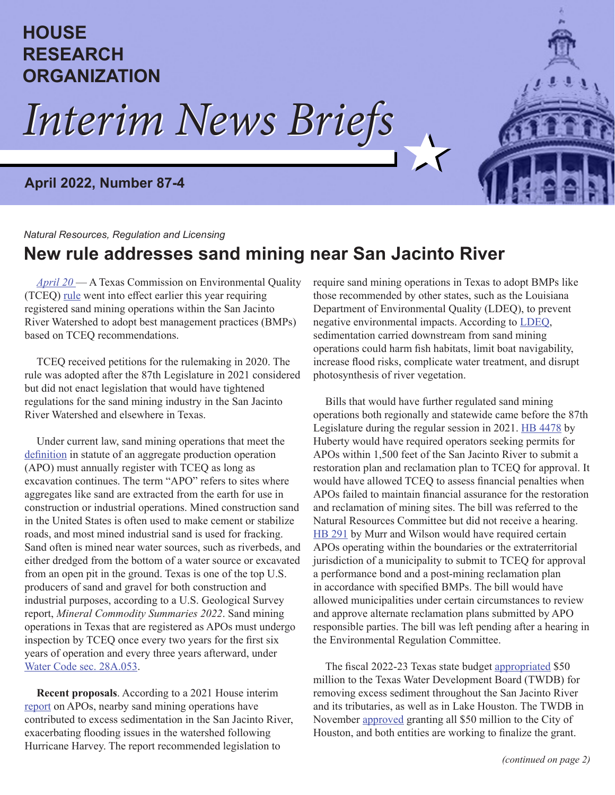## **HOUSE RESEARCH ORGANIZATION**

*Interim News Briefs Interim News Briefs*

#### **April 2022, Number 87-4**

#### *Natural Resources, Regulation and Licensing*

### **New rule addresses sand mining near San Jacinto River**

*[April 20](https://txhronews.wordpress.com/2022/04/20/new-rule-addresses-sand-mining-near-san-jacinto-river/)* — A Texas Commission on Environmental Quality (TCEQ) [rule](https://texreg.sos.state.tx.us/public/readtac$ext.TacPage?sl=R&app=9&p_dir=&p_rloc=&p_tloc=&p_ploc=&pg=1&p_tac=&ti=30&pt=1&ch=311&rl=103) went into effect earlier this year requiring registered sand mining operations within the San Jacinto River Watershed to adopt best management practices (BMPs) based on TCEQ recommendations.

TCEQ received petitions for the rulemaking in 2020. The rule was adopted after the 87th Legislature in 2021 considered but did not enact legislation that would have tightened regulations for the sand mining industry in the San Jacinto River Watershed and elsewhere in Texas.

Under current law, sand mining operations that meet the [definition](https://statutes.capitol.texas.gov/Docs/WA/htm/WA.28A.htm#28A.001) in statute of an aggregate production operation (APO) must annually register with TCEQ as long as excavation continues. The term "APO" refers to sites where aggregates like sand are extracted from the earth for use in construction or industrial operations. Mined construction sand in the United States is often used to make cement or stabilize roads, and most mined industrial sand is used for fracking. Sand often is mined near water sources, such as riverbeds, and either dredged from the bottom of a water source or excavated from an open pit in the ground. Texas is one of the top U.S. producers of sand and gravel for both construction and industrial purposes, according to a U.S. Geological Survey report, *Mineral Commodity Summaries 2022*. Sand mining operations in Texas that are registered as APOs must undergo inspection by TCEQ once every two years for the first six years of operation and every three years afterward, under [Water Code sec. 28A.053.](https://statutes.capitol.texas.gov/Docs/WA/htm/WA.28A.htm#28A.053)

**Recent proposals**. According to a 2021 House interim [report](https://house.texas.gov/_media/pdf/committees/reports/86interim/Aggregate-Production-Operations-Committee-Interim-Report-2018.pdf#page=52) on APOs, nearby sand mining operations have contributed to excess sedimentation in the San Jacinto River, exacerbating flooding issues in the watershed following Hurricane Harvey. The report recommended legislation to

require sand mining operations in Texas to adopt BMPs like those recommended by other states, such as the Louisiana Department of Environmental Quality (LDEQ), to prevent negative environmental impacts. According to [LDEQ](https://www.wlf.louisiana.gov/assets/Conservation/Maintaining_Natural_Scenic_Rivers/Files/LDEQ_recommended_BMPs_sand_and_gravel_mining.pdf#page=9), sedimentation carried downstream from sand mining operations could harm fish habitats, limit boat navigability, increase flood risks, complicate water treatment, and disrupt photosynthesis of river vegetation.

Bills that would have further regulated sand mining operations both regionally and statewide came before the 87th Legislature during the regular session in 2021. [HB 4478](https://capitol.texas.gov/tlodocs/87R/billtext/pdf/HB04478I.pdf#navpanes=0) by Huberty would have required operators seeking permits for APOs within 1,500 feet of the San Jacinto River to submit a restoration plan and reclamation plan to TCEQ for approval. It would have allowed TCEQ to assess financial penalties when APOs failed to maintain financial assurance for the restoration and reclamation of mining sites. The bill was referred to the Natural Resources Committee but did not receive a hearing. [HB 291](https://capitol.texas.gov/tlodocs/87R/billtext/pdf/HB00291I.pdf#navpanes=0) by Murr and Wilson would have required certain APOs operating within the boundaries or the extraterritorial jurisdiction of a municipality to submit to TCEQ for approval a performance bond and a post-mining reclamation plan in accordance with specified BMPs. The bill would have allowed municipalities under certain circumstances to review and approve alternate reclamation plans submitted by APO responsible parties. The bill was left pending after a hearing in the Environmental Regulation Committee.

The fiscal 2022-23 Texas state budget [appropriated](https://capitol.texas.gov/tlodocs/87R/billtext/pdf/SB00001F.pdf#page=922) \$50 million to the Texas Water Development Board (TWDB) for removing excess sediment throughout the San Jacinto River and its tributaries, as well as in Lake Houston. The TWDB in November [approved](https://www.twdb.texas.gov/board/2021/11/Board/Brd09.pdf) granting all \$50 million to the City of Houston, and both entities are working to finalize the grant.